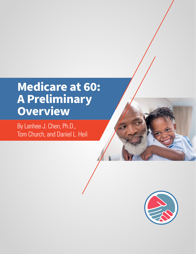# **Medicare at 60: A Preliminary Overview**

By Lanhee J. Chen, Ph.D., Tom Church, and Daniel L. Heil

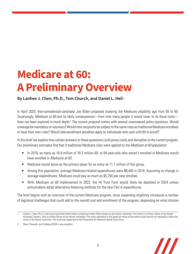# **Medicare at 60: A Preliminary Overview**

# **By Lanhee J. Chen, Ph.D., Tom Church, and Daniel L. Heil** <sup>1</sup>

In April 2020, then-presidential-candidate Joe Biden proposed lowering the Medicare eligibility age from 65 to 60. Surprisingly, *Medicare at 60* and its likely consequences—from how many people it would cover to its fiscal costs have not been explored in much depth.<sup>2</sup> The current proposal comes with several unanswered policy questions. Would coverage be mandatory or voluntary? Would new recipients be subject to the same rules as traditional Medicare enrollees or have their own rules? Would late-enrollment penalties apply to individuals who wait until 65 to enroll?

In this brief we explore how certain answers to these questions could prove costly and disruptive to the current program. Our preliminary estimates find that if traditional Medicare rules were applied to the *Medicare at 60* population:

- In 2018, as many as 16.9 million of 18.2 million 60- to 64-year-olds who weren't enrolled in Medicare would have enrolled in *Medicare at 60*.
- Medicare would serve as the primary payer for as many as 11.1 million of this group.
- Among this population, average Medicare-related expenditures were \$8,400 in 2018. Assuming no change in average expenditures, Medicare could pay as much as \$5,700 per new enrollee.
- With *Medicare at 60* implemented in 2022, the HI Trust Fund would likely be depleted in 2024 unless policymakers adopt alternative financing methods for the new Part A expenditures.

The brief begins with an overview of the current Medicare program, since expanding eligibility introduces a number of logistical challenges that could add to the overall cost and enrollment of the program, depending on what choices



Lanhee J. Chen, Ph.D. is the David and Diane Steffy Fellow in American Public Policy Studies at the Hoover Institution; Tom Church is a Policy Fellow at the Hoover Institution; Daniel L. Heil is a Policy Fellow at the Hoover Institution. The views expressed in this paper are those of the authors alone and do not necessarily reflect the views of the Hoover Institution. This work was supported by the Partnership for America's Health Care Future.

<sup>2</sup> Sloan, Rosacker, and Frohberg (2020) is one exception.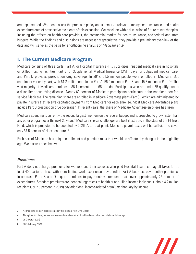are implemented. We then discuss the proposed policy and summarize relevant employment, insurance, and health expenditure data of prospective recipients of this expansion. We conclude with a discussion of future research topics, including the effects on health care providers, the commercial market for health insurance, and federal and state budgets. While the findings and discussions are necessarily speculative, they provide a preliminary overview of the data and will serve as the basis for a forthcoming analysis of *Medicare at 60*.

# **I. The Current Medicare Program**

Medicare consists of three parts: Part A, or Hospital Insurance (HI), subsidizes inpatient medical care in hospitals or skilled nursing facilities; Part B, or Supplemental Medical Insurance (SMI), pays for outpatient medical care; and Part D provides prescription drug coverage. In 2019, 61.5 million people were enrolled in Medicare. But enrollment varies by part, with 61.2 million enrolled in Part A, 56.0 million in Part B, and 45.8 million in Part D.<sup>3</sup> The vast majority of Medicare enrollees—86.1 percent—are 65 or older. Participants who are under 65 qualify due to a disability or qualifying disease. Nearly 63 percent of Medicare participants participate in the traditional fee-forservice Medicare. The remaining share are enrolled in Medicare Advantage plans (Part C), which are administered by private insurers that receive capitated payments from Medicare for each enrollee. Most Medicare Advantage plans include Part D prescription drug coverage.<sup>4</sup> In recent years, the share of Medicare Advantage enrollees has risen.

Medicare spending is currently the second largest line item on the federal budget and is projected to grow faster than any other program over the next 30 years.<sup>5</sup> Medicare's fiscal challenges are best illustrated in the state of the HI Trust Fund, which is projected to be depleted by 2026. After that point, Medicare payroll taxes will be sufficient to cover only 87.5 percent of HI expenditures.<sup>6</sup>

Each part of Medicare has unique enrollment and premium rules that would be affected by changes in the eligibility age. We discuss each below.

# **Premiums**

Part A does not charge premiums for workers and their spouses who paid Hospital Insurance payroll taxes for at least 40 quarters. Those with more limited work experience may enroll in Part A but must pay monthly premiums. In contrast, Parts B and D require enrollees to pay monthly premiums that cover approximately 25 percent of expenditures. Standard premiums are identical regardless of health or age. High-income individuals (about 4.2 million recipients, or 7.5 percent in 2019) pay additional income-related premiums that vary by income.



<sup>3</sup> All Medicare program data presented in this brief are from CMS (2021).

<sup>4</sup> Throughout this brief, we assume new enrollees choose traditional Medicare rather than Medicare Advantage.

<sup>5</sup> CBO (March 2021).

<sup>6</sup> CBO (February 2021).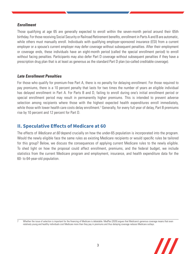### **Enrollment**

Those qualifying at age 65 are generally expected to enroll within the seven-month period around their 65th birthday. For those receiving Social Security or Railroad Retirement benefits, enrollment in Parts A and B are automatic, while others must manually enroll. Individuals with qualifying employer-sponsored insurance (ESI) from a current employer or a spouse's current employer may defer coverage without subsequent penalties. After their employment or coverage ends, these individuals have an eight-month period (called the special enrollment period) to enroll without facing penalties. Participants may also defer Part D coverage without subsequent penalties if they have a prescription drug plan that is at least as generous as the standard Part D plan (so-called creditable coverage).

### **Late Enrollment Penalties**

For those who qualify for premium-free Part A, there is no penalty for delaying enrollment. For those required to pay premiums, there is a 10 percent penalty that lasts for two times the number of years an eligible individual has delayed enrollment in Part A. For Parts B and D, failing to enroll during one's initial enrollment period or special enrollment period may result in permanently higher premiums. This is intended to prevent adverse selection among recipients where those with the highest expected health expenditures enroll immediately, while those with lower health care costs delay enrollment.7 Generally, for every full year of delay, Part B premiums rise by 10 percent and 12 percent for Part D.

# **II. Speculative Effects of Medicare at 60**

The effects of *Medicare at 60* depend crucially on how the under-65 population is incorporated into the program. Would the newly eligible face the same rules as existing Medicare recipients or would specific rules be tailored for this group? Below, we discuss the consequences of applying current Medicare rules to the newly eligible. To shed light on how the proposal could affect enrollment, premiums, and the federal budget, we include statistics from the current Medicare program and employment, insurance, and health expenditure data for the 60- to 64-year-old population.

Whether the issue of selection is important for the financing of Medicare is debatable. MedPac (2020) argues that Medicare's generous coverage means that even relatively young and healthy individuals cost Medicare more than they pay in premiums and thus delaying coverage reduces Medicare outlays.

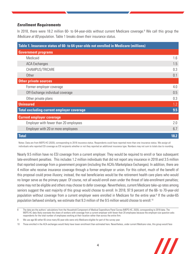### **Enrollment Requirements**

In 2018, there were 18.2 million 60- to 64-year-olds without current Medicare coverage.<sup>8</sup> We call this group the *Medicare at 60* population. Table 1 breaks down their insurance status.

| Table 1. Insurance status of 60- to 64-year-olds not enrolled in Medicare (millions) |      |
|--------------------------------------------------------------------------------------|------|
| <b>Government programs</b>                                                           |      |
| Medicaid                                                                             | 1.6  |
| <b>ACA Exchanges</b>                                                                 | 1.5  |
| CHAMPUS/TRICARE                                                                      | 0.3  |
| Other                                                                                | 0.1  |
| <b>Other private sources</b>                                                         |      |
| Former employer coverage                                                             | 4.0  |
| Off-Exchange individual coverage                                                     | 0.5  |
| Other private plans                                                                  | 0.3  |
| <b>Uninsured</b>                                                                     | 1.2  |
| <b>Total excluding current employer coverage</b>                                     | 9.5  |
| <b>Current employer coverage</b>                                                     |      |
| Employer with fewer than 20 employees                                                | 2.0  |
| Employer with 20 or more employees                                                   | 6.7  |
| <b>Total</b>                                                                         | 18.2 |

Notes: Data are from MEPS-HC (2020), corresponding to 2018 insurance status. Respondents could have reported more than one insurance status. We assign all individuals who reported ESI coverage as ESI recipients whether or not they reported an additional insurance type. Numbers may not sum to totals due to rounding.

Nearly 9.5 million have no ESI coverage from a current employer. They would be required to enroll or face subsequent late-enrollment penalties. This includes 1.2 million individuals that did not report any insurance in 2018 and 3.5 million that reported coverage from a government program (including the ACA's Marketplace Exchanges). In addition, there are 4 million who receive insurance coverage through a former employer or union. For this cohort, much of the benefit of this proposal could prove illusory; instead, the real beneficiaries would be the retirement health care plans who would no longer serve as the primary payer. Of course, not all would enroll even under the threat of late-enrollment penalties; some may not be eligible and others may choose to defer coverage. Nevertheless, current Medicare take-up rates among seniors suggest the vast majority of this group would choose to enroll. In 2018, 97.9 percent of the 66- to 70-year-old population without coverage from a current employer were enrolled in Medicare for the entire year.<sup>9</sup> If the under-65 population behaved similarly, we estimate that 9.3 million of the 9.5 million would choose to enroll.<sup>10</sup>

<sup>10</sup> Those enrolled in the ACA exchanges would likely have lower enrollment than estimated here. Nevertheless, under current Medicare rules, this group would face



<sup>8</sup> The data are the authors' calculations from the Household Component of Medical Expenditure Panel Survey (MEPS-HC, 2020), corresponding to 2018 data. The MEPS-HC data likely overstate the share of workers with coverage from a current employer with fewer than 20 employees because the employer-size question asks respondents for the total number of employees working at their location rather than across the entire firm.

<sup>9</sup> We use age 66 rather 65 since many 65-year-olds were only Medicare-eligible for part of the survey year.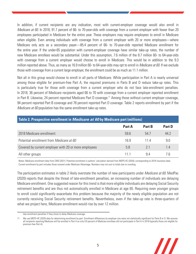In addition, if current recipients are any indication, most with current-employer coverage would also enroll in *Medicare at 60*. In 2018, 91.7 percent of 66- to 70-year-olds with coverage from a current employer with fewer than 20 employees participated in Medicare for the entire year. These employers may require employees to enroll in Medicare when eligible. Even among individuals with coverage from a current employer with 20 or more employees—where Medicare only acts as a secondary payer—85.4 percent of 66- to 70-year-olds reported Medicare enrollment for the entire year. If the under-65 population with current-employer coverage have similar take-up rates, the number of new Medicare enrollees would be substantial. Under this assumption, 7.6 million of the 8.7 million 60- to 64-year-olds with coverage from a current employer would choose to enroll in Medicare. This would be in addition to the 9.3 million reported above. Thus, as many as 16.9 million 60- to 64-year-olds may opt to enroll in *Medicare at 60.* If we exclude those with coverage from a current large employer, the enrollment could be as much as 11.1 million.

Not all in this group would choose to enroll in all parts of Medicare. While participation in Part A is nearly universal among those eligible for premium-free Part A, the required premiums in Parts B and D reduce take-up rates. This is particularly true for those with coverage from a current employer who do not face late-enrollment penalties. In 2018, 36 percent of Medicare recipients aged 66 to 70 with coverage from a current employer reported enrollment in Part B. Likewise, 24 percent reported Medicare Part D coverage.<sup>11</sup> Among those without current employer coverage, 94 percent reported Part B coverage and 78 percent reported Part D coverage. Table 2 reports enrollment by part if the *Medicare at 60* population has the same enrollment take-up rates.

| Table 2. Prospective enrollment in <i>Medicare at 60</i> by Medicare part (millions) |        |        |               |  |
|--------------------------------------------------------------------------------------|--------|--------|---------------|--|
|                                                                                      | Part A | Part B | <b>Part D</b> |  |
| 2018 Medicare enrollment:                                                            | 59.6   | 54.7   | 44.2          |  |
| Potential enrollment from <i>Medicare at 60</i>                                      | 16.9   | 114    | 9.0           |  |
| Covered by current employer with 20 or more employees                                | 5.8    | 21     | 1.4           |  |
| All other groups                                                                     | 11 1   | 94     | 7.6           |  |

Notes: Medicare enrollment data from CMS (2021). Potential enrollment is authors' calculation derived from MEPS-HC (2020), corresponding to 2018 insurance data. Current enrollment by part includes those covered under Medicare Advantage. Numbers may not sum to totals due to rounding.

The participation estimates in table 2 likely overstate the number of new participants under *Medicare at 60*. MedPac (2020) reports that despite the threat of late-enrollment penalties, an increasing number of individuals are delaying Medicare enrollment. One suggested reason for this trend is that more eligible individuals are delaying Social Security retirement benefits and are thus not automatically enrolled in Medicare at age 65. Requiring even younger groups to enroll could significantly exacerbate this problem because the majority of the newly eligible population are not currently receiving Social Security retirement benefits. Nevertheless, even if the take-up rate is three-quarters of what we project here, Medicare enrollment would rise by over 12 million.

<sup>11</sup> We use MEPS-HC (2020) data for determining enrollment by part. Enrollment differences by employer size were not statistically significant for Parts B or D. We assume all recipients reporting Medicare will be enrolled in Part A as only 0.6 percent of Medicare enrollees did not participate in Part A in 2018 (typically those not eligible for premium-free Part A).



late-enrollment penalties if they chose to delay Medicare coverage.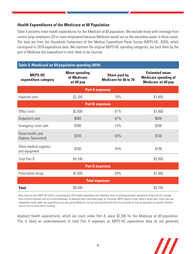# **Health Expenditures of the Medicare at 60 Population**

Table 3 presents mean health expenditures for the *Medicare at 60* population. We exclude those with coverage from current large employers (20 or more employees) because Medicare would act as the secondary payer in those cases. The data are from the Household Component of the Medical Expenditure Panel Survey (MEPS-HC, 2020), which correspond to 2018 expenditure data. We maintain the original MEPS-HC spending categories, but pool them by the part of Medicare the expenditure is most likely to be incurred.

# **Table 3:** *Medicaid at 60* **population spending (2018)**

| <b>MEPS-HC</b><br>expenditure category  | <b>Mean spending</b><br>of Medicare<br>at 60 pop | Share paid by<br><b>Medicare for 66 to 70</b> | <b>Estimated mean</b><br><b>Medicare spending of</b><br>Medicare at 60 pop |  |  |  |
|-----------------------------------------|--------------------------------------------------|-----------------------------------------------|----------------------------------------------------------------------------|--|--|--|
| <b>Part A expenses</b>                  |                                                  |                                               |                                                                            |  |  |  |
| Inpatient care                          | \$2,300                                          | 78%                                           | \$1,800                                                                    |  |  |  |
| <b>Part B expenses</b>                  |                                                  |                                               |                                                                            |  |  |  |
| Office visits                           | \$2,600                                          | 61%                                           | \$1,600                                                                    |  |  |  |
| Outpatient care                         | \$900                                            | 67%                                           | \$600                                                                      |  |  |  |
| Emergency room care                     | \$300                                            | 74%                                           | \$200                                                                      |  |  |  |
| Home health care<br>(Agency-Sponsored)  | \$200                                            | 63%                                           | \$100                                                                      |  |  |  |
| Other medical supplies<br>and equipment | \$200                                            | 43%                                           | \$100                                                                      |  |  |  |
| <b>Total Part B</b>                     | \$4,100                                          |                                               | \$2,600                                                                    |  |  |  |
| <b>Part D expenses</b>                  |                                                  |                                               |                                                                            |  |  |  |
| Prescription drugs                      | \$2,000                                          | 69%                                           | \$1,400                                                                    |  |  |  |
| <b>Total expenses</b>                   |                                                  |                                               |                                                                            |  |  |  |
| <b>Total</b>                            | \$8,400                                          |                                               | \$5,700                                                                    |  |  |  |

Note: Data are from MEPS-HC (2020), corresponding to 2018 health expenditure data. Medicare share of spending excludes spending by those with ESI coverage from a current employer with 20 or more employees, as Medicare acts a secondary payer for this group. MEPS reports a small share of dental care, vision care, and independent home health care expenditures are also paid by Medicare, but we have excluded them from the estimates as they are generally not covered. Numbers may not sum to totals due to rounding.

Inpatient health expenditures, which we count under Part A, were \$2,300 for the *Medicare at 60* population. This is likely an understatement of total Part A expenses as MEPS-HC expenditure data do not generally

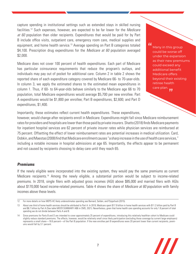capture spending in institutional settings such as extended stays in skilled nursing facilities.12 Such expenses, however, are expected to be far lower for the *Medicare at 60* population than older recipients. Expenditures that would be paid for by Part B include office visits, outpatient care, emergency room care, medical supplies and equipment, and home health service.<sup>13</sup> Average spending on Part B categories totaled \$4,100. Prescription drug expenditures for the *Medicare at 60* population averaged \$2,000.

Medicare does not cover 100 percent of health expenditures. Each part of Medicare has particular coinsurance requirements that reduce the program's outlays, and individuals may pay out of pocket for additional care. Column 2 in table 2 shows the reported share of each expenditure category covered by Medicare 66- to 70-year-olds. In column 3, we apply the estimated shares to the estimated mean expenditures in column 1. Thus, if 60- to 64-year-olds behave similarly to the Medicare age 66 to 70 population, total Medicare expenditures would average \$5,700 per new enrollee. Part A expenditures would be \$1,800 per enrollee; Part B expenditures, \$2,600; and Part D expenditures, \$1,400.

 $\iota\iota$ 

Many in this group could be worse off under the expansion as their new premiums could exceed any additional benefit Medicare offers beyond their existing retiree health care plan.

Importantly, these estimates reflect current health expenditures. These expenditures,

however, would change after recipients enroll in Medicare. Expenditures might fall since Medicare reimbursement rates for providers and hospitals are lower than those paid by private insurers. Shatto (2018) finds Medicare payments for inpatient hospital services are 62 percent of private insurer rates while physician services are reimbursed at 75 percent. Offsetting the effect of lower reimbursement rates are potential increases in medical utilization. Card, Dobkin, and Maestas (2008) find that Medicare enrollment causes "a sharp increase in the use of health care services," including a notable increase in hospital admissions at age 65. Importantly, the effects appear to be permanent and not caused by recipients choosing to delay care until they reach 65.

#### **Premiums**

If the newly eligible were incorporated into the existing system, they would pay the same premiums as current Medicare recipients.14 Among the newly eligible, a substantial portion would be subject to income-related premiums. In 2018, single filers with adjusted gross incomes (AGI) above \$85,000 and married filers with AGIs about \$170,000 faced income-related premiums. Table 4 shows the share of *Medicare at 60* population with family incomes above these levels.

<sup>14</sup> Since premiums for Parts B and D are intended to cover approximately 25 percent of expenditures, introducing this relatively healthier cohort to Medicare could slightly reduce standard premiums. The effects, however, would be relatively small since likely participation (excluding those coverage by current large employers) represents a small share—18.6 percent—of the Part B population. If the new enrollee part B expenditures were 20 percent lower than current recipients, premiums would fall by 3.1 percent.



<sup>12</sup> For more details on how MEPS-HC likely underestimates spending see Bernard, Selden, and Pylypchuck (2015).

<sup>13</sup> About one third of home health services should be attributed to Part A. In 2019, Medicare spent \$17.9 billion in home health services with \$11.2 billion paid by Part B and \$6.7 billion by Part A (See table MDCR SUMMARY AB6 in CMS, 2021). Nevertheless, given that home health care spending accounts for only 1.8 percent of total spending we do not divide between Parts A and B.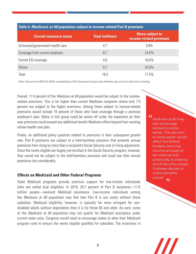| <b>Current insurance status</b>  | <b>Total (millions)</b> | <b>Share subject to</b><br>income-related premiums |  |
|----------------------------------|-------------------------|----------------------------------------------------|--|
| Uninsured/government health care | 4.7                     | 3.8%                                               |  |
| Coverage from current employer   | 8.7                     | 24.0%                                              |  |
| Former ESI coverage              | 4.0                     | 16.0%                                              |  |
| <b>Others</b>                    | 0.7                     | 33.0%                                              |  |
| Total                            | 18.2                    | 17.4%                                              |  |

#### **Table 4.** *Medicare at 60* **population subject to income-related Part B premiums**

Notes: Data are from MEPS-HC (2020), corresponding to 2018 income and insurance data. Numbers may not sum to totals due to rounding.

Overall, 17.4 percent of the *Medicare at 60* population would be subject to the incomerelated premiums. This is far higher than current Medicare recipients where only 7.5 percent are subject to the higher premiums. Among those subject to income-related premiums would include 16 percent of those who have coverage through a previous employer's plan. Many in this group could be worse off under the expansion as their new premiums could exceed any additional benefit Medicare offers beyond their existing retiree health care plan.

Finally, an additional policy question related to premiums is their subsequent growth rate. Part B premiums are subject to a hold-harmless provision that prevents annual premiums from rising by more than a recipient's Social Security cost of living adjustment. Since the newly eligible are largely not enrolled in the Social Security program, however, they would not be subject to the hold-harmless provision and could see their annual premiums rise considerably.

#### **Effects on Medicaid and Other Federal Programs**

State Medicaid programs provide premium support for low-income individuals (who are called dual eligibles). In 2019, 20.7 percent of Part B recipients—11.6 million people—received Medicaid assistance. Low-income individuals among the *Medicare at 60* population may find that Part B is too costly without these subsidies. Medicaid eligibility, however, is typically far more stringent for nondisabled adults without dependents than it is for those 65 and older. As such, some of the *Medicare at 60* population may not qualify for Medicaid assistance under current state rules. Congress would need to encourage states to alter their Medicaid program rules to ensure the newly eligible qualified for subsidies. The incentives in

8

 $\iota\iota$ Medicare at 60 may also encourage workers to retire earlier...The decision to retire earlier would affect the federal budget, reducing income and payroll tax revenue and potentially increasing Social Security outlays if retirees decide to collect benefits sooner.  $, ,$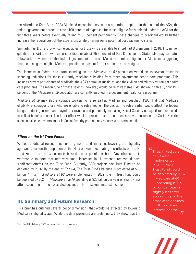the Affordable Care Act's (ACA) Medicaid expansion serves as a potential template. In the case of the ACA, the federal government agreed to cover 100 percent of expenses for those eligible for Medicaid under the ACA for the first three years before eventually falling to 90 percent permanently. These changes to Medicaid would further increase the federal cost of the expansion, while offering some potential cost savings to states.

Similarly, Part D offers low-income subsidies for those who are unable to afford Part D premiums. In 2018, 11.6 million qualified for Part D's low-income subsidies, or about 25.2 percent of Part D recipients. States also pay capitated "clawback" payments to the federal government for each Medicaid enrollee eligible for Medicare, suggesting that increasing the eligible Medicare population may put further strain on state budgets.

The increase in federal and state spending on the *Medicare at 60* population would be somewhat offset by spending reductions for those currently receiving subsidies from other government health care programs. This includes current participants of Medicaid, the ACA's premium subsidies, and the civilian and military retirement health care programs. The magnitude of these savings, however, would be relatively small. As shown in table 1, only 19.5 percent of the *Medicare at 60* population are currently enrolled in a government health care program.

*Medicare at 60* may also encourage workers to retire earlier. Madrian and Beaulieu (1998) find that Medicare eligibility encourages those who are eligible to retire sooner. The decision to retire earlier would affect the federal budget, reducing income and payroll tax revenue and potentially increasing Social Security outlays if retirees decide to collect benefits sooner. The latter effect would represent a shift—not necessarily an increase—in Social Security spending since early enrollment in Social Security permanently reduces a retiree's benefits.

# **Effect on the HI Trust Funds**

Without additional revenue sources or general fund financing, lowering the eligibility age would hasten the depletion of the HI Trust Fund. Estimating the effects on the HI Trust Fund from the expansion is beyond the scope of this brief. Nevertheless, it is worthwhile to note that relatively small increases in HI expenditures would have significant effects on the Trust Fund. Currently, CBO projects the Trust Fund to be depleted by 2026. By the end of FY2024, The Trust Fund's balance is projected at \$75 billion.15 Thus, if *Medicare at 60* were implemented in 2022, the HI Trust Fund could be depleted by 2024 if *Medicare at 60 HI* spending is \$25 billion per year or slightly less after accounting for the associated declines in HI Trust Fund interest income.

# **III. Summary and Future Research**

This brief has outlined several policy dimensions that would be affected by lowering Medicare's eligibility age. While the data presented are preliminary, they show that the

15 See CBO (February 2021) for current Trust Fund projections.

 $\iota\iota$ Thus, if Medicare at 60 were implemented in 2022, the HI Trust Fund could be depleted by 2024 if Medicare at 60 HI spending is \$25 billion per year or slightly less after accounting for the associated declines in HI Trust Fund interest income.,,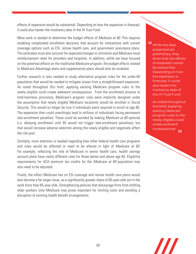effects of expansion would be substantial. Depending on how the expansion is financed, it could also hasten the insolvency date of the HI Trust Fund.

More work is needed to determine the budget effects of *Medicare at 60*. This requires modeling complicated enrollment decisions that account for interactions with current coverage options such as ESI, retiree health care, and government assistance plans. The estimates must also account for expected changes in utilization and Medicare-level reimbursement rates for providers and hospitals. In addition, while we have focused on the potential effects on the traditional Medicare program, the budget effects related to Medicare Advantage plans and supplemental plans should also be modeled.

Further research is also needed to study alternative program rules for the under-65 population that would be needed to mitigate issues from a straightforward expansion. As noted throughout this brief, applying existing Medicare program rules to the newly eligible could create awkward consequences. From the enrollment process to hold-harmless provisions, Medicare's program rules were implicitly designed under the assumption that newly eligible Medicare recipients would be enrolled in Social Security. This would no longer be true if individuals were required to enroll at age 60. The expansion then could unwittingly lead to millions of individuals facing permanent late-enrollment penalties. These could be avoided by making *Medicare at 60* optional (i.e. delaying enrollment until 65 would not trigger late-enrollment penalties), but that would increase adverse selection among the newly eligible and negatively affect the risk pool.

Similarly, more attention is needed regarding how other federal health care programs and rules would be affected or need to be altered in light of *Medicare at 60.* For example, reflecting the role of Medicare in senior health care, health savings account plans have vastly different rules for those below and above age 65. Eligibility requirements for ACA premium tax credits for the *Medicare at 60* population may also need to be adjusted.

Finally, the effect Medicare has on ESI coverage and retiree health care plans would also become a far larger issue, as a significantly greater share of 60-year-olds are in the work force than 65-year-olds. Strengthening policies that discourage firms from shifting older workers onto Medicare may prove important for limiting costs and avoiding a disruption of existing health benefit arrangements.

 $\boldsymbol{\mu}$ While the data presented are preliminary, they show that the effects of expansion would be substantial. Depending on how the expansion is financed, it could also hasten the insolvency date of the HI Trust Fund.

> As noted throughout this brief, applying existing Medicare program rules to the newly eligible could create awkward consequences.,,